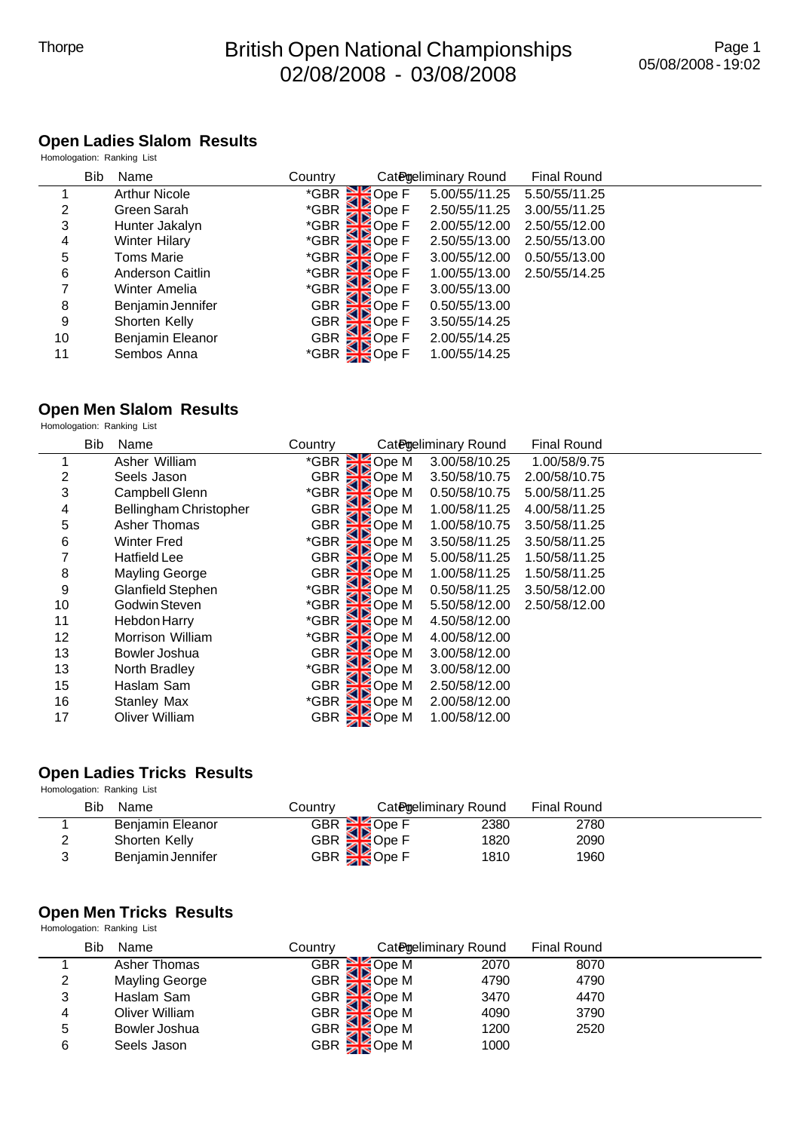# Thorpe **British Open National Championships** 02/08/2008 - 03/08/2008

#### **Open Ladies Slalom Results**

|                    | Homologation: Ranking List |                            |                                 |               |                    |  |  |  |
|--------------------|----------------------------|----------------------------|---------------------------------|---------------|--------------------|--|--|--|
| <b>Bib</b><br>Name |                            | Country                    | Categeliminary Round            |               | <b>Final Round</b> |  |  |  |
|                    | <b>Arthur Nicole</b>       | *GBR SO Ope F              |                                 | 5.00/55/11.25 | 5.50/55/11.25      |  |  |  |
| 2                  | Green Sarah                | *GBR <sup>SL</sup>         | <b>Ope F</b>                    | 2.50/55/11.25 | 3.00/55/11.25      |  |  |  |
| 3                  | Hunter Jakalyn             | $*$ GBR $\approx$          | Ope F                           | 2.00/55/12.00 | 2.50/55/12.00      |  |  |  |
| 4                  | <b>Winter Hilary</b>       | CBR Op-<br>SOP Ope F       |                                 | 2.50/55/13.00 | 2.50/55/13.00      |  |  |  |
| 5                  | Toms Marie                 | *GBR E                     | Ope F:                          | 3.00/55/12.00 | 0.50/55/13.00      |  |  |  |
| 6                  | Anderson Caitlin           | *GBR SOPE F<br>*GBR SOPE F |                                 | 1.00/55/13.00 | 2.50/55/14.25      |  |  |  |
|                    | Winter Amelia              |                            |                                 | 3.00/55/13.00 |                    |  |  |  |
| 8                  | Benjamin Jennifer          | GBR                        | Ope F                           | 0.50/55/13.00 |                    |  |  |  |
| 9                  | Shorten Kelly              |                            |                                 | 3.50/55/14.25 |                    |  |  |  |
| 10                 | Benjamin Eleanor           |                            | GBR<br>GBR<br>GBR<br>CBB<br>CBB | 2.00/55/14.25 |                    |  |  |  |
| 11                 | Sembos Anna                | *GBR <b>E</b>              | Ope F                           | 1.00/55/14.25 |                    |  |  |  |

# **Open Men Slalom Results**

Homologation: Ranking List

|    | <b>Bib</b><br>Name     | Country    |                                   | Categeliminary Round | <b>Final Round</b> |  |
|----|------------------------|------------|-----------------------------------|----------------------|--------------------|--|
|    | Asher William          | *GBR       | GBR Ope M<br>GBR Ope M            | 3.00/58/10.25        | 1.00/58/9.75       |  |
| 2  | Seels Jason            |            |                                   | 3.50/58/10.75        | 2.00/58/10.75      |  |
| 3  | Campbell Glenn         | *GBR       |                                   | 0.50/58/10.75        | 5.00/58/11.25      |  |
| 4  | Bellingham Christopher | <b>GBR</b> | Ope M<br>Ope M<br>Ope M<br>Ope M  | 1.00/58/11.25        | 4.00/58/11.25      |  |
| 5  | Asher Thomas           | <b>GBR</b> |                                   | 1.00/58/10.75        | 3.50/58/11.25      |  |
| 6  | Winter Fred            | *GBR       | Ope M                             | 3.50/58/11.25        | 3.50/58/11.25      |  |
|    | Hatfield Lee           | <b>GBR</b> | Ope M                             | 5.00/58/11.25        | 1.50/58/11.25      |  |
| 8  | <b>Mayling George</b>  | <b>GBR</b> | Ope M                             | 1.00/58/11.25        | 1.50/58/11.25      |  |
| 9  | Glanfield Stephen      | *GBR       | Ope M                             | 0.50/58/11.25        | 3.50/58/12.00      |  |
| 10 | Godwin Steven          | *GBR       | Ope M                             | 5.50/58/12.00        | 2.50/58/12.00      |  |
| 11 | Hebdon Harry           | *GBR       | Ope M                             | 4.50/58/12.00        |                    |  |
| 12 | Morrison William       | *GBR       | Sope M<br>Sope M                  | 4.00/58/12.00        |                    |  |
| 13 | Bowler Joshua          | <b>GBR</b> |                                   | 3.00/58/12.00        |                    |  |
| 13 | North Bradley          | *GBR       | <b>SE</b> Ope M                   | 3.00/58/12.00        |                    |  |
| 15 | Haslam Sam             | <b>GBR</b> | <b>SD</b> Ope M                   | 2.50/58/12.00        |                    |  |
| 16 | Stanley Max            |            |                                   | 2.00/58/12.00        |                    |  |
| 17 | Oliver William         |            | JBR<br>*GBR SOpe M<br>^^^^ SOpe M | 1.00/58/12.00        |                    |  |

### **Open Ladies Tricks Results**

Homologation: Ranking List

| Bib<br>Name       | Country |                                     | Categeliminary Round | <b>Final Round</b> |  |
|-------------------|---------|-------------------------------------|----------------------|--------------------|--|
| Benjamin Eleanor  |         |                                     | 2380                 | 2780               |  |
| Shorten Kelly     |         |                                     | 1820                 | 2090               |  |
| Beniamin Jennifer |         | GBR<br>GBR<br>GBR<br>GBR<br>TROpe F | 1810                 | 1960               |  |

#### **Open Men Tricks Results**

Homologation: Ranking List

|   | Bib<br>Name           | Countrv |                        | Categeliminary Round | Final Round |  |
|---|-----------------------|---------|------------------------|----------------------|-------------|--|
|   | Asher Thomas          |         | GBR SOpe M             | 2070                 | 8070        |  |
| 2 | <b>Mayling George</b> |         | GBR Ope M              | 4790                 | 4790        |  |
| 3 | Haslam Sam            |         | GBR SO Ope M           | 3470                 | 4470        |  |
| 4 | Oliver William        |         | GBR SO Ope M           | 4090                 | 3790        |  |
| 5 | Bowler Joshua         |         | GBR SO Ope M           | 1200                 | 2520        |  |
| 6 | Seels Jason           |         | GBR <sup>S</sup> Ope M | 1000                 |             |  |